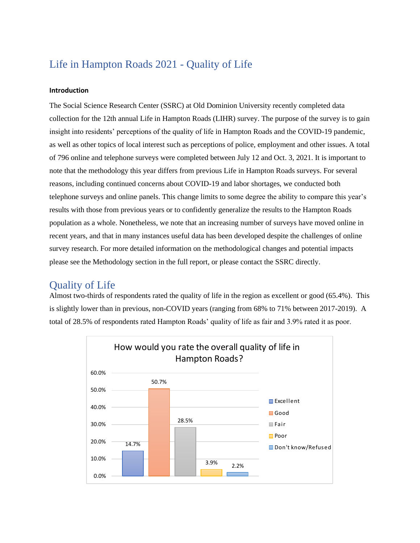### Life in Hampton Roads 2021 - Quality of Life

#### **Introduction**

The Social Science Research Center (SSRC) at Old Dominion University recently completed data collection for the 12th annual Life in Hampton Roads (LIHR) survey. The purpose of the survey is to gain insight into residents' perceptions of the quality of life in Hampton Roads and the COVID-19 pandemic, as well as other topics of local interest such as perceptions of police, employment and other issues. A total of 796 online and telephone surveys were completed between July 12 and Oct. 3, 2021. It is important to note that the methodology this year differs from previous Life in Hampton Roads surveys. For several reasons, including continued concerns about COVID-19 and labor shortages, we conducted both telephone surveys and online panels. This change limits to some degree the ability to compare this year's results with those from previous years or to confidently generalize the results to the Hampton Roads population as a whole. Nonetheless, we note that an increasing number of surveys have moved online in recent years, and that in many instances useful data has been developed despite the challenges of online survey research. For more detailed information on the methodological changes and potential impacts please see the Methodology section in the full report, or please contact the SSRC directly.

### Quality of Life

Almost two-thirds of respondents rated the quality of life in the region as excellent or good (65.4%). This is slightly lower than in previous, non-COVID years (ranging from 68% to 71% between 2017-2019). A total of 28.5% of respondents rated Hampton Roads' quality of life as fair and 3.9% rated it as poor.

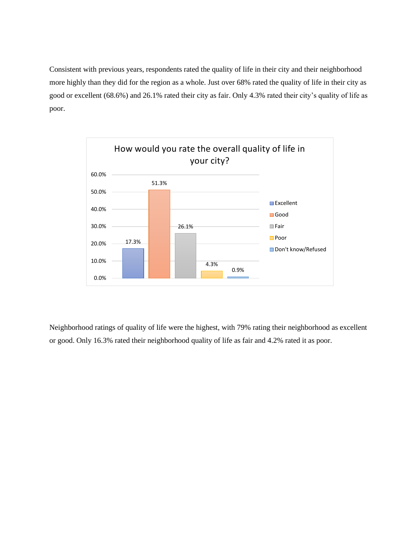Consistent with previous years, respondents rated the quality of life in their city and their neighborhood more highly than they did for the region as a whole. Just over 68% rated the quality of life in their city as good or excellent (68.6%) and 26.1% rated their city as fair. Only 4.3% rated their city's quality of life as poor.



Neighborhood ratings of quality of life were the highest, with 79% rating their neighborhood as excellent or good. Only 16.3% rated their neighborhood quality of life as fair and 4.2% rated it as poor.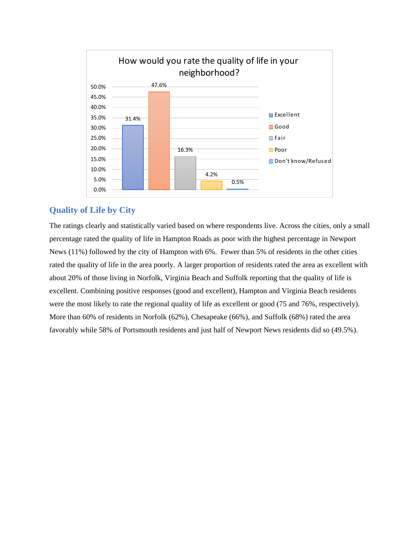

#### **Quality of Life by City**

The ratings clearly and statistically varied based on where respondents live. Across the cities, only a small percentage rated the quality of life in Hampton Roads as poor with the highest percentage in Newport News (11%) followed by the city of Hampton with 6%. Fewer than 5% of residents in the other cities rated the quality of life in the area poorly. A larger proportion of residents rated the area as excellent with about 20% of those living in Norfolk, Virginia Beach and Suffolk reporting that the quality of life is excellent. Combining positive responses (good and excellent), Hampton and Virginia Beach residents were the most likely to rate the regional quality of life as excellent or good (75 and 76%, respectively). More than 60% of residents in Norfolk (62%), Chesapeake (66%), and Suffolk (68%) rated the area favorably while 58% of Portsmouth residents and just half of Newport News residents did so (49.5%).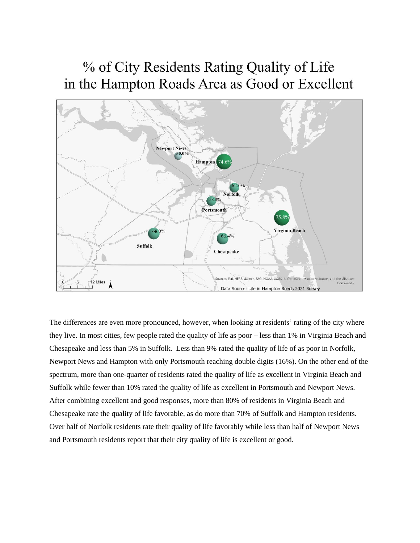# % of City Residents Rating Quality of Life in the Hampton Roads Area as Good or Excellent



The differences are even more pronounced, however, when looking at residents' rating of the city where they live. In most cities, few people rated the quality of life as poor – less than 1% in Virginia Beach and Chesapeake and less than 5% in Suffolk. Less than 9% rated the quality of life of as poor in Norfolk, Newport News and Hampton with only Portsmouth reaching double digits (16%). On the other end of the spectrum, more than one-quarter of residents rated the quality of life as excellent in Virginia Beach and Suffolk while fewer than 10% rated the quality of life as excellent in Portsmouth and Newport News. After combining excellent and good responses, more than 80% of residents in Virginia Beach and Chesapeake rate the quality of life favorable, as do more than 70% of Suffolk and Hampton residents. Over half of Norfolk residents rate their quality of life favorably while less than half of Newport News and Portsmouth residents report that their city quality of life is excellent or good.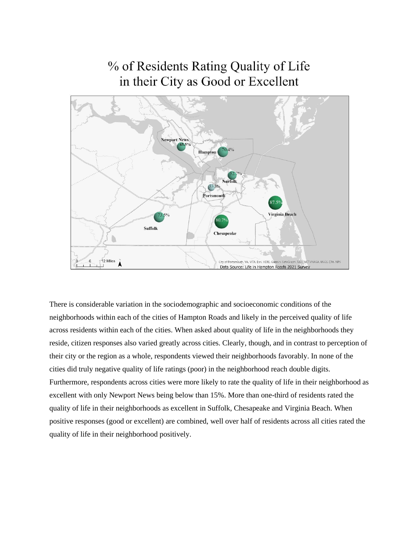## % of Residents Rating Quality of Life in their City as Good or Excellent



There is considerable variation in the sociodemographic and socioeconomic conditions of the neighborhoods within each of the cities of Hampton Roads and likely in the perceived quality of life across residents within each of the cities. When asked about quality of life in the neighborhoods they reside, citizen responses also varied greatly across cities. Clearly, though, and in contrast to perception of their city or the region as a whole, respondents viewed their neighborhoods favorably. In none of the cities did truly negative quality of life ratings (poor) in the neighborhood reach double digits. Furthermore, respondents across cities were more likely to rate the quality of life in their neighborhood as excellent with only Newport News being below than 15%. More than one-third of residents rated the quality of life in their neighborhoods as excellent in Suffolk, Chesapeake and Virginia Beach. When positive responses (good or excellent) are combined, well over half of residents across all cities rated the quality of life in their neighborhood positively.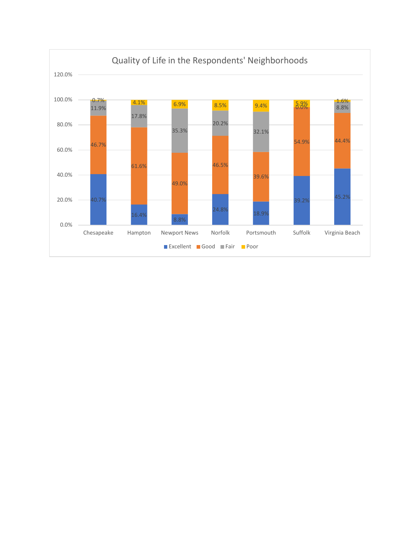